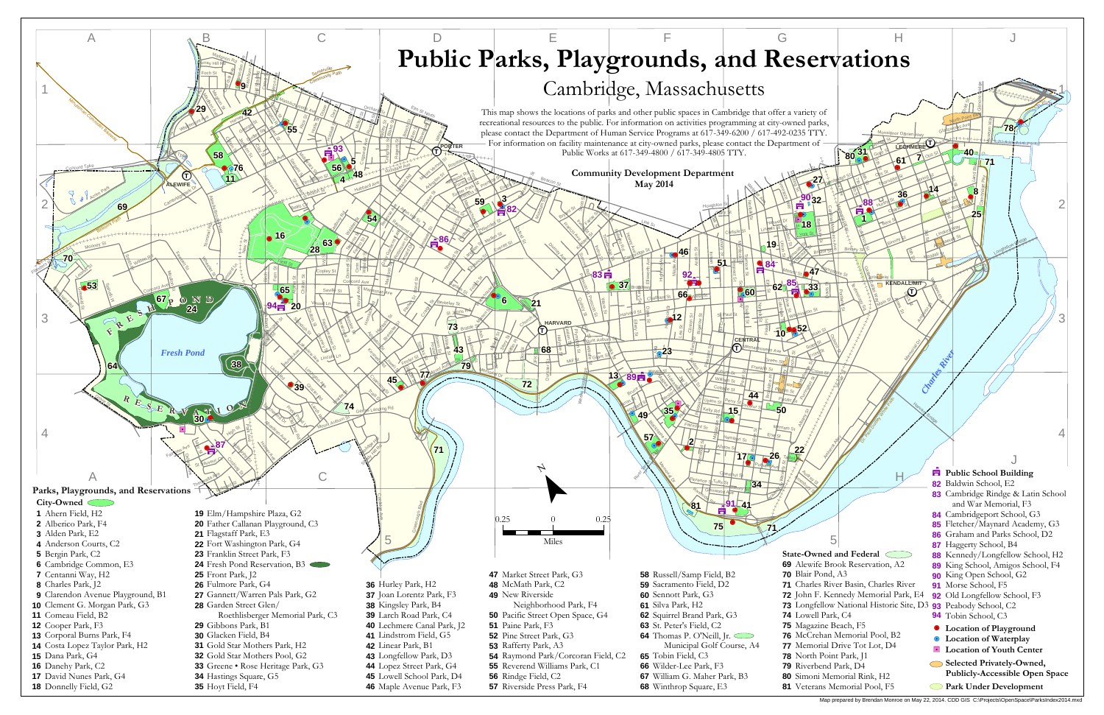

Map prepared by Brendan Monroe on May 22, 2014. CDD GIS C:\Projects\OpenSpace\ParksIndex2014.mxd